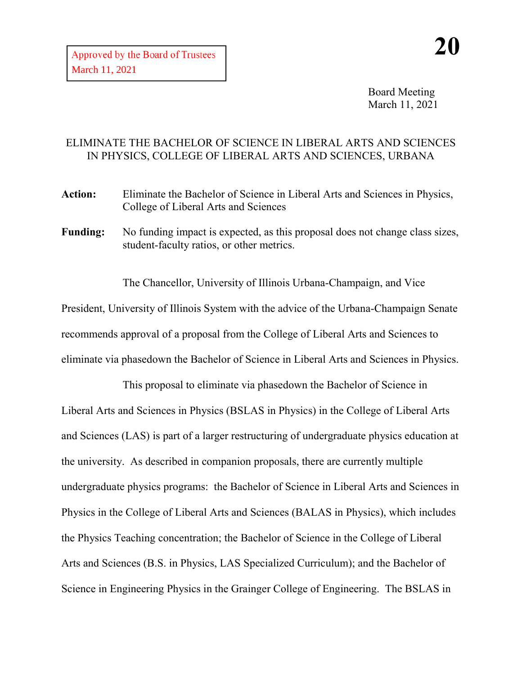Board Meeting March 11, 2021

## ELIMINATE THE BACHELOR OF SCIENCE IN LIBERAL ARTS AND SCIENCES IN PHYSICS, COLLEGE OF LIBERAL ARTS AND SCIENCES, URBANA

- **Action:** Eliminate the Bachelor of Science in Liberal Arts and Sciences in Physics, College of Liberal Arts and Sciences
- Funding: No funding impact is expected, as this proposal does not change class sizes, student-faculty ratios, or other metrics.

The Chancellor, University of Illinois Urbana-Champaign, and Vice President, University of Illinois System with the advice of the Urbana-Champaign Senate recommends approval of a proposal from the College of Liberal Arts and Sciences to eliminate via phasedown the Bachelor of Science in Liberal Arts and Sciences in Physics.

This proposal to eliminate via phasedown the Bachelor of Science in Liberal Arts and Sciences in Physics (BSLAS in Physics) in the College of Liberal Arts and Sciences (LAS) is part of a larger restructuring of undergraduate physics education at the university. As described in companion proposals, there are currently multiple undergraduate physics programs: the Bachelor of Science in Liberal Arts and Sciences in Physics in the College of Liberal Arts and Sciences (BALAS in Physics), which includes the Physics Teaching concentration; the Bachelor of Science in the College of Liberal Arts and Sciences (B.S. in Physics, LAS Specialized Curriculum); and the Bachelor of Science in Engineering Physics in the Grainger College of Engineering. The BSLAS in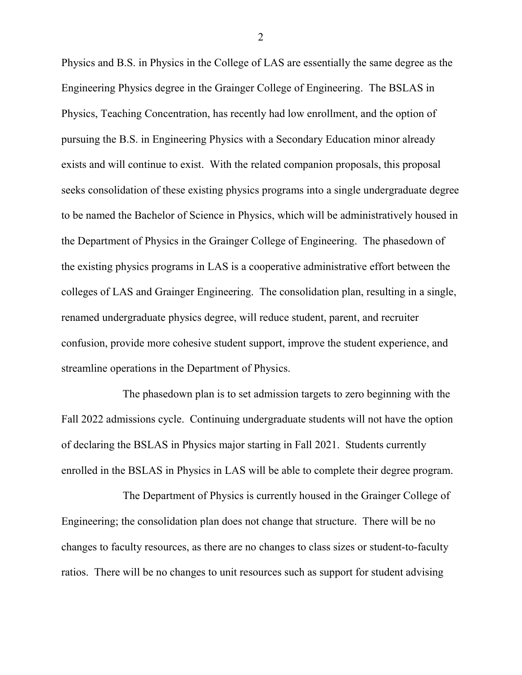Physics and B.S. in Physics in the College of LAS are essentially the same degree as the Engineering Physics degree in the Grainger College of Engineering. The BSLAS in Physics, Teaching Concentration, has recently had low enrollment, and the option of pursuing the B.S. in Engineering Physics with a Secondary Education minor already exists and will continue to exist. With the related companion proposals, this proposal seeks consolidation of these existing physics programs into a single undergraduate degree to be named the Bachelor of Science in Physics, which will be administratively housed in the Department of Physics in the Grainger College of Engineering. The phasedown of the existing physics programs in LAS is a cooperative administrative effort between the colleges of LAS and Grainger Engineering. The consolidation plan, resulting in a single, renamed undergraduate physics degree, will reduce student, parent, and recruiter confusion, provide more cohesive student support, improve the student experience, and streamline operations in the Department of Physics.

The phasedown plan is to set admission targets to zero beginning with the Fall 2022 admissions cycle. Continuing undergraduate students will not have the option of declaring the BSLAS in Physics major starting in Fall 2021. Students currently enrolled in the BSLAS in Physics in LAS will be able to complete their degree program.

The Department of Physics is currently housed in the Grainger College of Engineering; the consolidation plan does not change that structure. There will be no changes to faculty resources, as there are no changes to class sizes or student-to-faculty ratios. There will be no changes to unit resources such as support for student advising

2